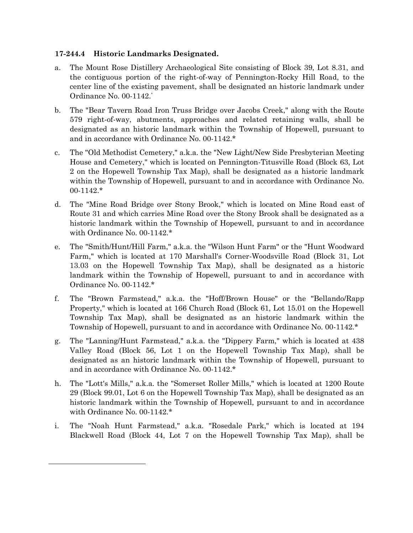## **17-244.4 Historic Landmarks Designated.**

- a. The Mount Rose Distillery Archaeological Site consisting of Block 39, Lot 8.31, and the contiguous portion of the right-of-way of Pennington-Rocky Hill Road, to the center line of the existing pavement, shall be designated an historic landmark under Ordinance No. 00-1142.\*
- b. The "Bear Tavern Road Iron Truss Bridge over Jacobs Creek," along with the Route 579 right-of-way, abutments, approaches and related retaining walls, shall be designated as an historic landmark within the Township of Hopewell, pursuant to and in accordance with Ordinance No. 00-1142.\*
- c. The "Old Methodist Cemetery," a.k.a. the "New Light/New Side Presbyterian Meeting House and Cemetery," which is located on Pennington-Titusville Road (Block 63, Lot 2 on the Hopewell Township Tax Map), shall be designated as a historic landmark within the Township of Hopewell, pursuant to and in accordance with Ordinance No. 00-1142.\*
- d. The "Mine Road Bridge over Stony Brook," which is located on Mine Road east of Route 31 and which carries Mine Road over the Stony Brook shall be designated as a historic landmark within the Township of Hopewell, pursuant to and in accordance with Ordinance No. 00-1142.\*
- e. The "Smith/Hunt/Hill Farm," a.k.a. the "Wilson Hunt Farm" or the "Hunt Woodward Farm," which is located at 170 Marshall's Corner-Woodsville Road (Block 31, Lot 13.03 on the Hopewell Township Tax Map), shall be designated as a historic landmark within the Township of Hopewell, pursuant to and in accordance with Ordinance No. 00-1142.\*
- f. The "Brown Farmstead," a.k.a. the "Hoff/Brown House" or the "Bellando/Rapp Property," which is located at 166 Church Road (Block 61, Lot 15.01 on the Hopewell Township Tax Map), shall be designated as an historic landmark within the Township of Hopewell, pursuant to and in accordance with Ordinance No. 00-1142.\*
- g. The "Lanning/Hunt Farmstead," a.k.a. the "Dippery Farm," which is located at 438 Valley Road (Block 56, Lot 1 on the Hopewell Township Tax Map), shall be designated as an historic landmark within the Township of Hopewell, pursuant to and in accordance with Ordinance No. 00-1142.\*
- h. The "Lott's Mills," a.k.a. the "Somerset Roller Mills," which is located at 1200 Route 29 (Block 99.01, Lot 6 on the Hopewell Township Tax Map), shall be designated as an historic landmark within the Township of Hopewell, pursuant to and in accordance with Ordinance No. 00-1142.\*
- i. The "Noah Hunt Farmstead," a.k.a. "Rosedale Park," which is located at 194 Blackwell Road (Block 44, Lot 7 on the Hopewell Township Tax Map), shall be

 $\overline{\phantom{a}}$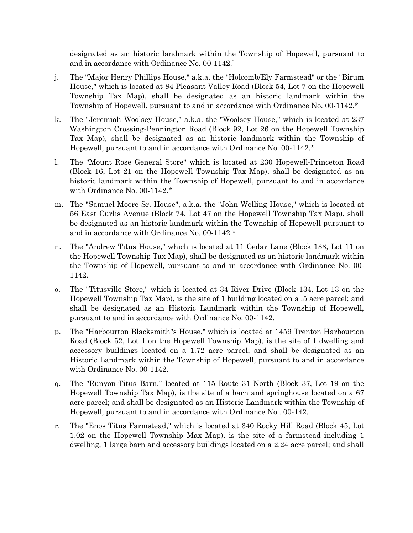designated as an historic landmark within the Township of Hopewell, pursuant to and in accordance with Ordinance No. 00-1142.<sup>\*</sup>

- j. The "Major Henry Phillips House," a.k.a. the "Holcomb/Ely Farmstead" or the "Birum House," which is located at 84 Pleasant Valley Road (Block 54, Lot 7 on the Hopewell Township Tax Map), shall be designated as an historic landmark within the Township of Hopewell, pursuant to and in accordance with Ordinance No. 00-1142.\*
- k. The "Jeremiah Woolsey House," a.k.a. the "Woolsey House," which is located at 237 Washington Crossing-Pennington Road (Block 92, Lot 26 on the Hopewell Township Tax Map), shall be designated as an historic landmark within the Township of Hopewell, pursuant to and in accordance with Ordinance No. 00-1142.\*
- l. The "Mount Rose General Store" which is located at 230 Hopewell-Princeton Road (Block 16, Lot 21 on the Hopewell Township Tax Map), shall be designated as an historic landmark within the Township of Hopewell, pursuant to and in accordance with Ordinance No. 00-1142.\*
- m. The "Samuel Moore Sr. House", a.k.a. the "John Welling House," which is located at 56 East Curlis Avenue (Block 74, Lot 47 on the Hopewell Township Tax Map), shall be designated as an historic landmark within the Township of Hopewell pursuant to and in accordance with Ordinance No. 00-1142.\*
- n. The "Andrew Titus House," which is located at 11 Cedar Lane (Block 133, Lot 11 on the Hopewell Township Tax Map), shall be designated as an historic landmark within the Township of Hopewell, pursuant to and in accordance with Ordinance No. 00- 1142.
- o. The "Titusville Store," which is located at 34 River Drive (Block 134, Lot 13 on the Hopewell Township Tax Map), is the site of 1 building located on a .5 acre parcel; and shall be designated as an Historic Landmark within the Township of Hopewell, pursuant to and in accordance with Ordinance No. 00-1142.
- p. The "Harbourton Blacksmith"s House," which is located at 1459 Trenton Harbourton Road (Block 52, Lot 1 on the Hopewell Township Map), is the site of 1 dwelling and accessory buildings located on a 1.72 acre parcel; and shall be designated as an Historic Landmark within the Township of Hopewell, pursuant to and in accordance with Ordinance No. 00-1142.
- q. The "Runyon-Titus Barn," located at 115 Route 31 North (Block 37, Lot 19 on the Hopewell Township Tax Map), is the site of a barn and springhouse located on a 67 acre parcel; and shall be designated as an Historic Landmark within the Township of Hopewell, pursuant to and in accordance with Ordinance No.. 00-142.
- r. The "Enos Titus Farmstead," which is located at 340 Rocky Hill Road (Block 45, Lot 1.02 on the Hopewell Township Max Map), is the site of a farmstead including 1 dwelling, 1 large barn and accessory buildings located on a 2.24 acre parcel; and shall

 $\overline{\phantom{a}}$